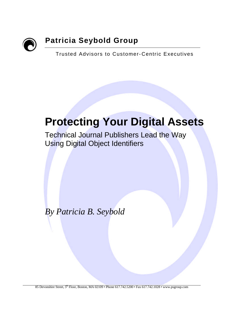

# **Patricia Seybold Group**

Trusted Advisors to Customer- Centric Executives

# **Protecting Your Digital Assets**

Technical Journal Publishers Lead the Way Using Digital Object Identifiers

*By Patricia B. Seybold*

85 Devonshire Street,  $5^{th}$  Floor, Boston, MA 02109 • Phone 617.742.5200 • Fax 617.742.1028 • www.psgroup.com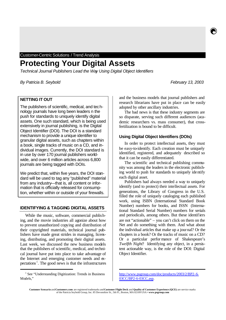Customer-Centric Solutions / Trend Analysis

## **Protecting Your Digital Assets**

*Technical Journal Publishers Lead the Way Using Digital Object Identifiers*

*By Patricia B. Seybold February 13, 2003*

## **NETTING IT OUT**

The publishers of scientific, medical, and technology journals have long been leaders n the push for standards to uniquely identify digital assets. One such standard, which is being used extensively in journal publishing, is the Digital Object Identifier (DOI). The DOI is a standard mechanism to provide a unique identifier to granular digital assets, such as chapters within a book, single tracks of music on a CD, and individual images. Currently, the DOI standard is in use by over 170 journal publishers worldwide, and over 6 million articles across 6,800 journals are being tagged with DOIs.

We predict that, within five years, the DOI standard will be used to tag any "published" material from any industry—that is, all content or information that is officially released for consumption, whether within or outside of your firewalls.

#### **IDENTIFYING & TAGGING DIGITAL ASSETS**

While the music, software, commercial publishing, and the movie industries all agonize about how to prevent unauthorized copying and distribution of their copyrighted materials, technical journal publishers have made great strides in managing, licensing, distributing, and promoting their digital assets. Last week, we discussed the new business models that the publishers of scientific, medical, and technical journal have put into place to take advantage of the Internet and emerging customer needs and expectations<sup>1</sup>. The good news is that the infrastructures

<sup>1</sup> See "Understanding Digitization: Trends in Business Models,"

ĺ

and the business models that journal publishers and research librarians have put in place can be easily adopted by other ancillary industries.

The bad news is that these industry segments are so disparate, serving such different audiences (academic researchers vs. mass consumer), that crossfertilization is bound to be difficult.

### **Using Digital Object Identifiers (DOIs)**

In order to protect intellectual assets, they must be easy-to-identify. Each creation must be uniquely identified, registered, and adequately described so that it can be easily differentiated.

The scientific and technical publishing community was among the leaders in the electronic publishing world to push for standards to uniquely identify each digital asset.

Publishers had always needed a way to uniquely identify (and to protect) their intellectual assets. For generations, the Library of Congress in the U.S. filled the role of uniquely cataloging each published work, using ISBN (International Standard Book Number) numbers for books, and ISSN (International Standard Serial Number) numbers for serials and periodicals, among others. But these identifiers are not "actionable" – you can't click on them on the Net and do something with them. And what about the individual articles that make up a journal? Or the chapters in a book? Or the tracks of music on a CD? Or a particular perfor mance of Shakespeare's *Twelfth Night*? Identifying any object, in a persistent actionable way, is the role of the DOI: Digital Object Identifier.

http://www.psgroup.com/doc/products/2003/2/BP2-6- 03CC/BP2-6-03CC.asp.

ĺ

**Customer Scenario** and **Customers.com** are registered trademarks and**Customer Flight Deck** and **Quality of Customer Experience (QCE)** are service marks of the Patricia Seybold Group, Inc. 85 Devonshire St., 5th Fl., Boston, MA 02109 USA • **www.psgroup.com**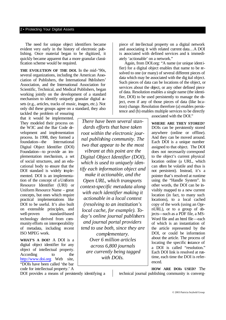#### 2 • Protecting Your Digital Assets

The need for unique object identifiers became evident very early in the history of electronic publishing. Once material began to be digitized, it quickly became apparent that a more granular classification scheme would be required.

**THE EVOLUTION OF THE DOI.** In the mid-'90s, several organizations, including the American Association of Publishers, the International Publishers' Association, and the International Association for Scientific, Technical, and Medical Publishers, began working jointly on the development of a standard mechanism to identify uniquely granular digital assets (e.g., articles, tracks of music, images, etc.). Not only did these groups agree on a standard, they also

tackled the problem of ensuring that it would be implemented. They modeled their process on the W3C and the Bar Code development and implementation process. In 1998, they formed a foundation—the International Digital Object Identifier (DOI) Foundation—to provide an implementation mechanism, a set of social structures, and an educational body to ensure that the DOI standard is widely implemented. DOI is an implementation of the concept of a Uniform Resource Identifier (URI) or Uniform Resource Name – great concepts, but ones which require practical implementations like DOI to be useful. It's also built on extensible principles, and well-proven standard-based technology derived from community efforts on interoperability of metadata, including recent ISO MPEG work.

**WHAT'S A DOI?** A DOI is a digital object identifier for any object of intellectual property. According to the http://www.doi.org Web site, "DOIs have been called 'the bar code for intellectual property.' A

*There have been several standards efforts that have taken root within the electronic journal publishing community. The two that appear to be the most vibrant at this point are the Digital Object Identifier (DOI), which is used to uniquely identify each information object and make it actionable, and the Open URL, which transports context-specific metadata along with each identifier making it actionable in a local context (resolving to an institution's local cache, for example). Today's online journal publishers and journal portal providers tend to use both, since they are complementary. Over 6 million articles across 6,800 journals are currently being tagged with DOIs.*

piece of intellectual property on a digital network and associating it with related current data…A DOI is associated with defined services and is immediately 'actionable' on a network."

Again, from DOI.org: "A name (or unique identifier) for a digital object enables that name to be resolved to one (or many) of several different pieces of data which may be associated with the dig ital object. Such pieces of data can be locations of the object, or services about the object, or any other defined piece of data. Resolution enables a single name (the identifier, DOI) to be used persistently to manage the object, even if any of those pieces of data (like bcation) change. Resolution therefore (a) enables persistence and (b) enables multiple services to be directly

associated with the DOI."

**WHERE ARE THEY STORED?** DOIs can be persistently stored anywhere (online or offline). And they can be moved around. Each DOI is a unique number assigned to that object. The DOI does not necessarily correspond to the object's current physical location online (a URL, which can often be volatile and thus is not persistent). Instead, it's a pointer that's resolved at runtime using the "Handle System". In other words, the DOI can be invisibly mapped to a new current location (in fact, to many such locations), to a local cached copy of the work (using an OpenURL), or to a group of objects—such as a PDF file, a MS-Word file and an html file—each of which is an instantiation of the article represented by the DOI, or could be information about the article. The process of locating the specific instance of a DOI is called "resolution." Each DOI link is resolved at runtime, each time the DOI is referenced.

DOI provides a means of persistently identifying a

**HOW ARE DOIs USED?** The technical journal publishing community is converg-